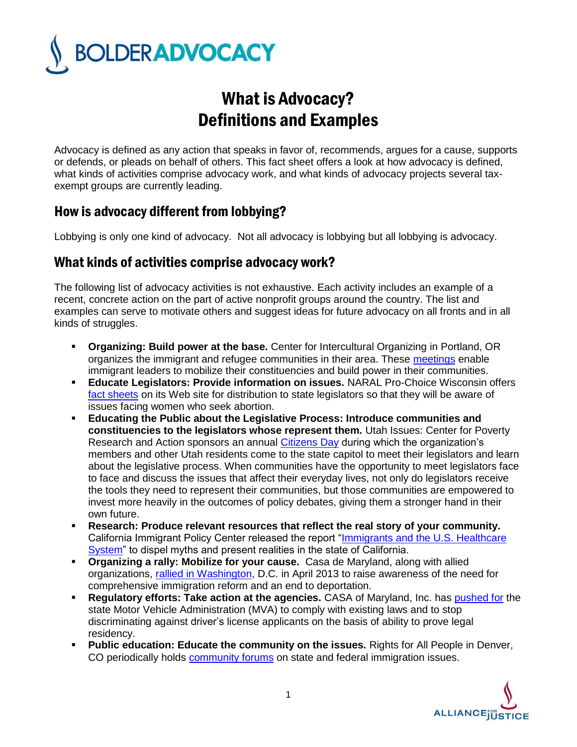

## What is Advocacy? Definitions and Examples

Advocacy is defined as any action that speaks in favor of, recommends, argues for a cause, supports or defends, or pleads on behalf of others. This fact sheet offers a look at how advocacy is defined, what kinds of activities comprise advocacy work, and what kinds of advocacy projects several taxexempt groups are currently leading.

## How is advocacy different from lobbying?

Lobbying is only one kind of advocacy. Not all advocacy is lobbying but all lobbying is advocacy.

## What kinds of activities comprise advocacy work?

The following list of advocacy activities is not exhaustive. Each activity includes an example of a recent, concrete action on the part of active nonprofit groups around the country. The list and examples can serve to motivate others and suggest ideas for future advocacy on all fronts and in all kinds of struggles.

- **Organizing: Build power at the base.** Center for Intercultural Organizing in Portland, OR organizes the immigrant and refugee communities in their area. These [meetings](http://www.interculturalorganizing.org/what-we-do/community-organizing-and-mobilization/) enable immigrant leaders to mobilize their constituencies and build power in their communities.
- **Educate Legislators: Provide information on issues. NARAL Pro-Choice Wisconsin offers** [fact sheets](http://www.prochoicewisconsin.org/what-is-choice/) on its Web site for distribution to state legislators so that they will be aware of issues facing women who seek abortion.
- **Educating the Public about the Legislative Process: Introduce communities and constituencies to the legislators whose represent them.** Utah Issues: Center for Poverty Research and Action sponsors an annual [Citizens Day](http://www.dailykos.com/story/2007/02/18/303196/-Citizen-s-Day-at-the-Legislature-in-Utah) during which the organization's members and other Utah residents come to the state capitol to meet their legislators and learn about the legislative process. When communities have the opportunity to meet legislators face to face and discuss the issues that affect their everyday lives, not only do legislators receive the tools they need to represent their communities, but those communities are empowered to invest more heavily in the outcomes of policy debates, giving them a stronger hand in their own future.
- **Research: Produce relevant resources that reflect the real story of your community.**  California Immigrant Policy Center released the report ["Immigrants and the U.S. Healthcare](http://www.caimmigrant.org/document.php?id=8)  [System"](http://www.caimmigrant.org/document.php?id=8) to dispel myths and present realities in the state of California.
- **Organizing a rally: Mobilize for your cause.** Casa de Maryland, along with allied organizations, [rallied in Washington,](http://www.citizenship-now.org/) D.C. in April 2013 to raise awareness of the need for comprehensive immigration reform and an end to deportation.
- **Requiatory efforts: Take action at the agencies.** CASA of Maryland, Inc. has **pushed for the** state Motor Vehicle Administration (MVA) to comply with existing laws and to stop discriminating against driver's license applicants on the basis of ability to prove legal residency.
- **Public education: Educate the community on the issues.** Rights for All People in Denver, CO periodically holds [community forums](https://www.facebook.com/events/247055578765501/) on state and federal immigration issues.